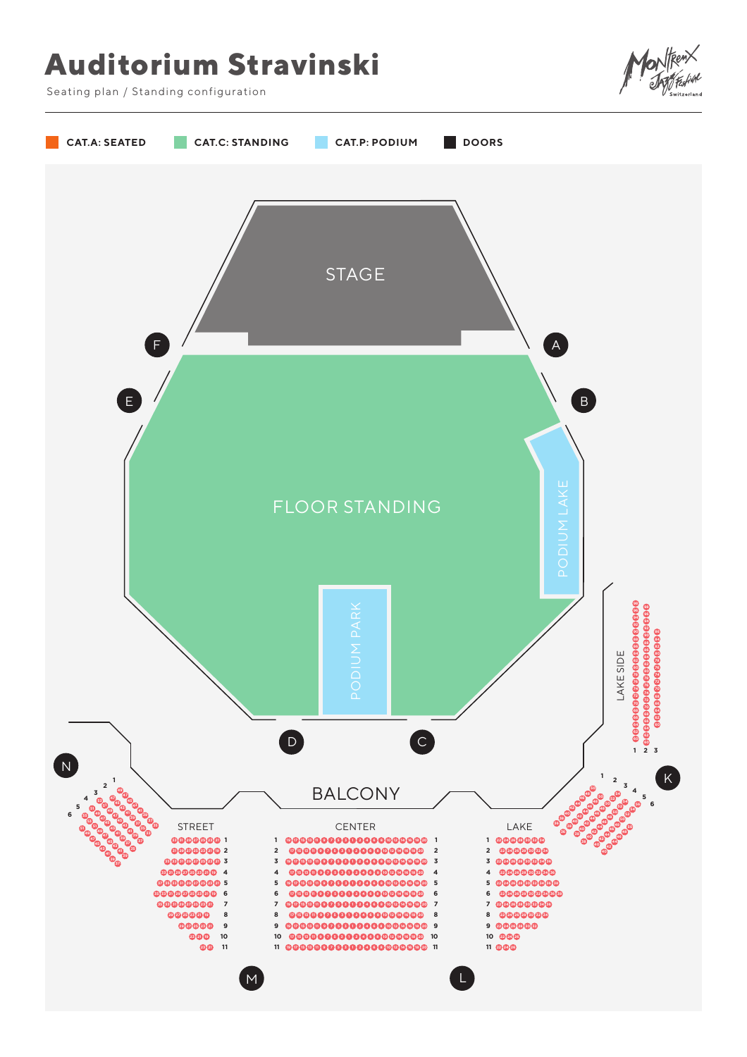## **Auditorium Stravinski**



Seating plan / Standing configuration

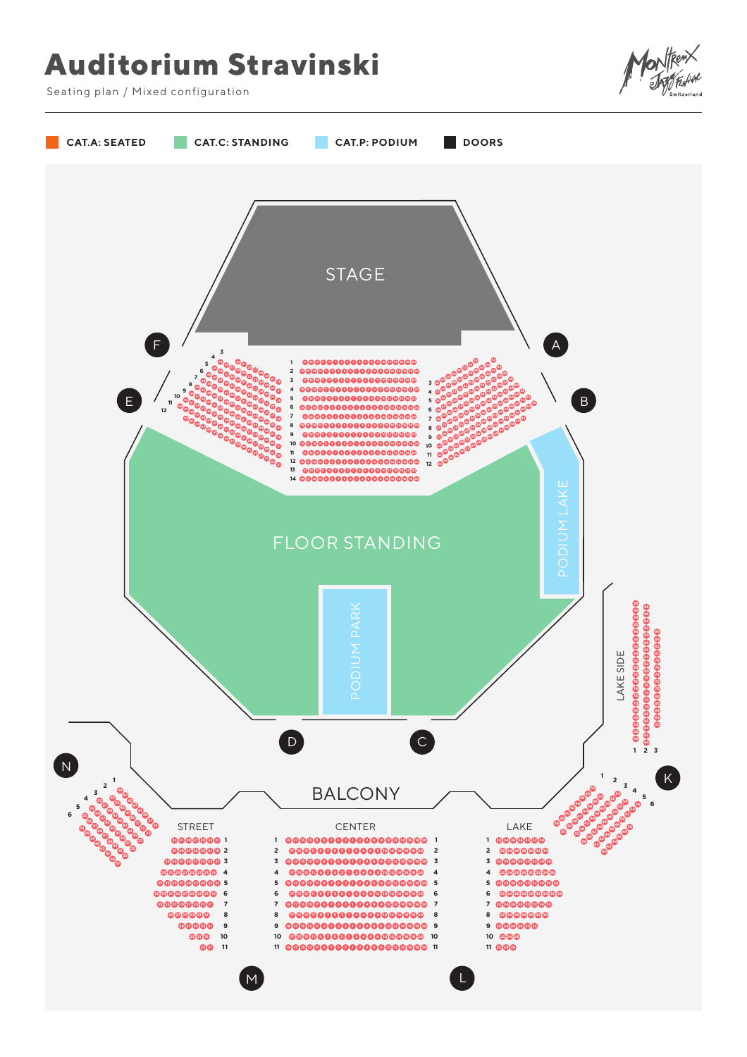